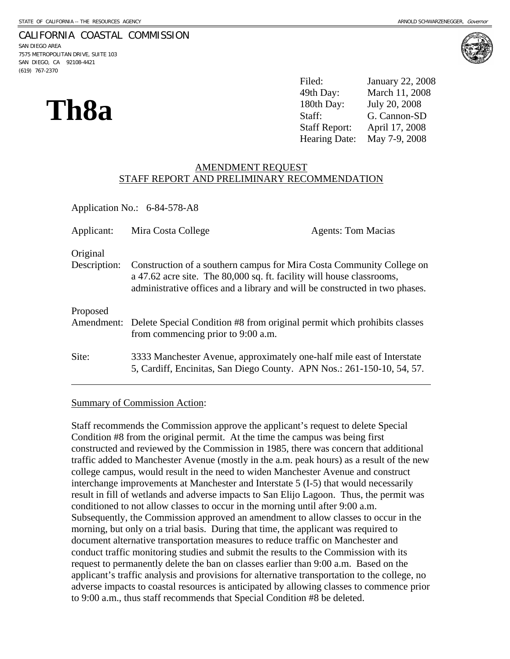### CALIFORNIA COASTAL COMMISSION

SAN DIEGO AREA 7575 METROPOLITAN DRIVE, SUITE 103 SAN DIEGO, CA 92108-4421 (619) 767-2370





**Th8a** <sup>49th Day: March 11, 2008<br>
<sup>180th Day: July 20, 2008</sup><br>
Staff: G. Cannon-SD<br>
Staff Report: April 17, 2008</sup> Filed: January 22, 2008 March 11, 2008 July 20, 2008 April 17, 2008 Hearing Date: May 7-9, 2008

### AMENDMENT REQUEST STAFF REPORT AND PRELIMINARY RECOMMENDATION

| Application No.: 6-84-578-A8 |                                                                                                                                                                                                                               |                           |  |  |
|------------------------------|-------------------------------------------------------------------------------------------------------------------------------------------------------------------------------------------------------------------------------|---------------------------|--|--|
| Applicant:                   | Mira Costa College                                                                                                                                                                                                            | <b>Agents: Tom Macias</b> |  |  |
| Original<br>Description:     | Construction of a southern campus for Mira Costa Community College on<br>a 47.62 acre site. The 80,000 sq. ft. facility will house classrooms,<br>administrative offices and a library and will be constructed in two phases. |                           |  |  |
| Proposed                     | Amendment: Delete Special Condition #8 from original permit which prohibits classes<br>from commencing prior to 9:00 a.m.                                                                                                     |                           |  |  |
| Site:                        | 3333 Manchester Avenue, approximately one-half mile east of Interstate<br>5, Cardiff, Encinitas, San Diego County. APN Nos.: 261-150-10, 54, 57.                                                                              |                           |  |  |

### Summary of Commission Action:

Staff recommends the Commission approve the applicant's request to delete Special Condition #8 from the original permit. At the time the campus was being first constructed and reviewed by the Commission in 1985, there was concern that additional traffic added to Manchester Avenue (mostly in the a.m. peak hours) as a result of the new college campus, would result in the need to widen Manchester Avenue and construct interchange improvements at Manchester and Interstate 5 (I-5) that would necessarily result in fill of wetlands and adverse impacts to San Elijo Lagoon. Thus, the permit was conditioned to not allow classes to occur in the morning until after 9:00 a.m. Subsequently, the Commission approved an amendment to allow classes to occur in the morning, but only on a trial basis. During that time, the applicant was required to document alternative transportation measures to reduce traffic on Manchester and conduct traffic monitoring studies and submit the results to the Commission with its request to permanently delete the ban on classes earlier than 9:00 a.m. Based on the applicant's traffic analysis and provisions for alternative transportation to the college, no adverse impacts to coastal resources is anticipated by allowing classes to commence prior to 9:00 a.m., thus staff recommends that Special Condition #8 be deleted.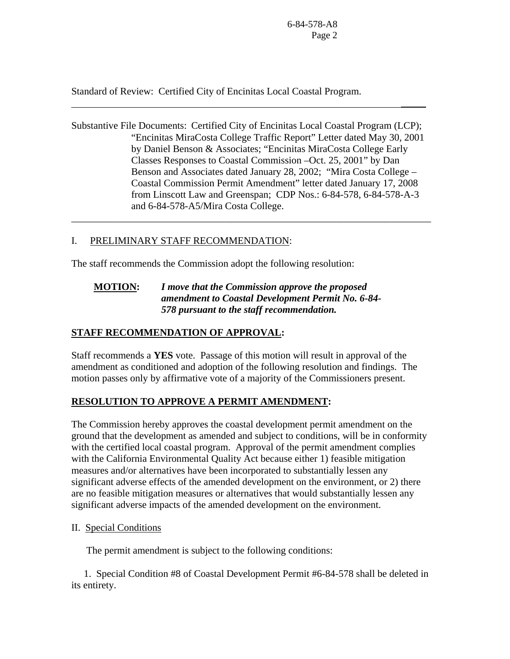Standard of Review: Certified City of Encinitas Local Coastal Program.

Substantive File Documents: Certified City of Encinitas Local Coastal Program (LCP); "Encinitas MiraCosta College Traffic Report" Letter dated May 30, 2001 by Daniel Benson & Associates; "Encinitas MiraCosta College Early Classes Responses to Coastal Commission –Oct. 25, 2001" by Dan Benson and Associates dated January 28, 2002; "Mira Costa College – Coastal Commission Permit Amendment" letter dated January 17, 2008 from Linscott Law and Greenspan; CDP Nos.: 6-84-578, 6-84-578-A-3 and 6-84-578-A5/Mira Costa College.

\_\_\_\_\_\_\_\_\_\_\_\_\_\_\_\_\_\_\_\_\_\_\_\_\_\_\_\_\_\_\_\_\_\_\_\_\_\_\_\_\_\_\_\_\_\_\_\_\_\_\_\_\_\_\_\_\_\_\_\_\_\_\_\_\_\_\_\_\_\_\_\_

 $\mathcal{L}_\mathcal{L}$  , we can consider the constraint of the constraints of the constraints of the constraints of the constraints of the constraints of the constraints of the constraints of the constraints of the constraints of

# I. PRELIMINARY STAFF RECOMMENDATION:

The staff recommends the Commission adopt the following resolution:

# **MOTION:** *I move that the Commission approve the proposed amendment to Coastal Development Permit No. 6-84- 578 pursuant to the staff recommendation.*

# **STAFF RECOMMENDATION OF APPROVAL:**

Staff recommends a **YES** vote. Passage of this motion will result in approval of the amendment as conditioned and adoption of the following resolution and findings. The motion passes only by affirmative vote of a majority of the Commissioners present.

# **RESOLUTION TO APPROVE A PERMIT AMENDMENT:**

The Commission hereby approves the coastal development permit amendment on the ground that the development as amended and subject to conditions, will be in conformity with the certified local coastal program. Approval of the permit amendment complies with the California Environmental Quality Act because either 1) feasible mitigation measures and/or alternatives have been incorporated to substantially lessen any significant adverse effects of the amended development on the environment, or 2) there are no feasible mitigation measures or alternatives that would substantially lessen any significant adverse impacts of the amended development on the environment.

## II. Special Conditions

The permit amendment is subject to the following conditions:

 1. Special Condition #8 of Coastal Development Permit #6-84-578 shall be deleted in its entirety.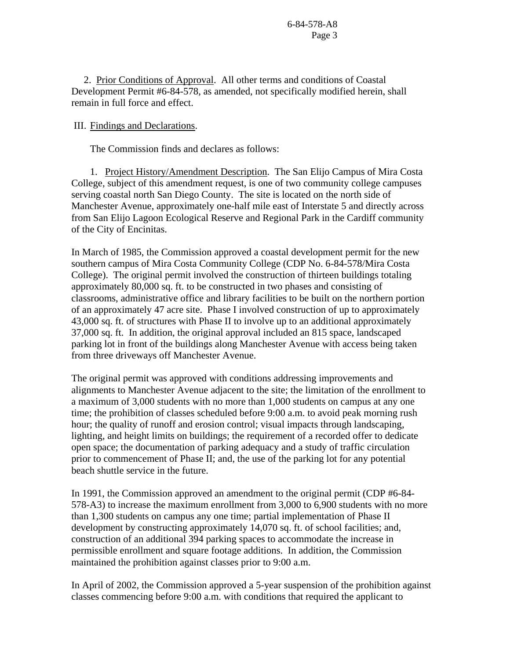2. Prior Conditions of Approval. All other terms and conditions of Coastal Development Permit #6-84-578, as amended, not specifically modified herein, shall remain in full force and effect.

### III. Findings and Declarations.

The Commission finds and declares as follows:

1. Project History/Amendment Description. The San Elijo Campus of Mira Costa College, subject of this amendment request, is one of two community college campuses serving coastal north San Diego County. The site is located on the north side of Manchester Avenue, approximately one-half mile east of Interstate 5 and directly across from San Elijo Lagoon Ecological Reserve and Regional Park in the Cardiff community of the City of Encinitas.

In March of 1985, the Commission approved a coastal development permit for the new southern campus of Mira Costa Community College (CDP No. 6-84-578/Mira Costa College). The original permit involved the construction of thirteen buildings totaling approximately 80,000 sq. ft. to be constructed in two phases and consisting of classrooms, administrative office and library facilities to be built on the northern portion of an approximately 47 acre site. Phase I involved construction of up to approximately 43,000 sq. ft. of structures with Phase II to involve up to an additional approximately 37,000 sq. ft. In addition, the original approval included an 815 space, landscaped parking lot in front of the buildings along Manchester Avenue with access being taken from three driveways off Manchester Avenue.

The original permit was approved with conditions addressing improvements and alignments to Manchester Avenue adjacent to the site; the limitation of the enrollment to a maximum of 3,000 students with no more than 1,000 students on campus at any one time; the prohibition of classes scheduled before 9:00 a.m. to avoid peak morning rush hour; the quality of runoff and erosion control; visual impacts through landscaping, lighting, and height limits on buildings; the requirement of a recorded offer to dedicate open space; the documentation of parking adequacy and a study of traffic circulation prior to commencement of Phase II; and, the use of the parking lot for any potential beach shuttle service in the future.

In 1991, the Commission approved an amendment to the original permit (CDP #6-84- 578-A3) to increase the maximum enrollment from 3,000 to 6,900 students with no more than 1,300 students on campus any one time; partial implementation of Phase II development by constructing approximately 14,070 sq. ft. of school facilities; and, construction of an additional 394 parking spaces to accommodate the increase in permissible enrollment and square footage additions. In addition, the Commission maintained the prohibition against classes prior to 9:00 a.m.

In April of 2002, the Commission approved a 5-year suspension of the prohibition against classes commencing before 9:00 a.m. with conditions that required the applicant to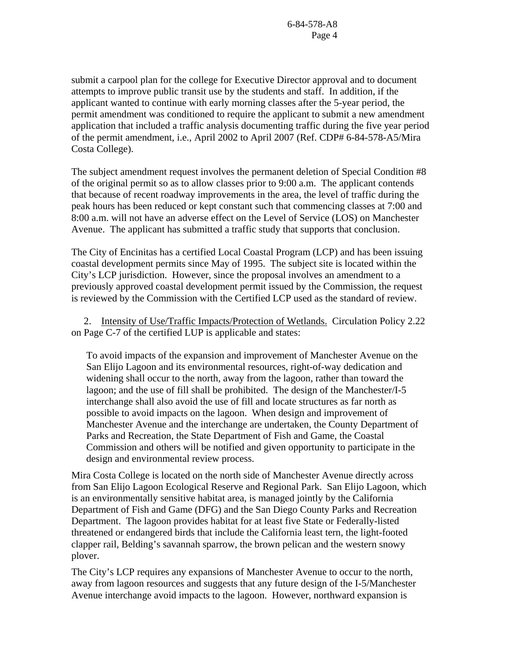submit a carpool plan for the college for Executive Director approval and to document attempts to improve public transit use by the students and staff. In addition, if the applicant wanted to continue with early morning classes after the 5-year period, the permit amendment was conditioned to require the applicant to submit a new amendment application that included a traffic analysis documenting traffic during the five year period of the permit amendment, i.e., April 2002 to April 2007 (Ref. CDP# 6-84-578-A5/Mira Costa College).

The subject amendment request involves the permanent deletion of Special Condition #8 of the original permit so as to allow classes prior to 9:00 a.m. The applicant contends that because of recent roadway improvements in the area, the level of traffic during the peak hours has been reduced or kept constant such that commencing classes at 7:00 and 8:00 a.m. will not have an adverse effect on the Level of Service (LOS) on Manchester Avenue. The applicant has submitted a traffic study that supports that conclusion.

The City of Encinitas has a certified Local Coastal Program (LCP) and has been issuing coastal development permits since May of 1995. The subject site is located within the City's LCP jurisdiction. However, since the proposal involves an amendment to a previously approved coastal development permit issued by the Commission, the request is reviewed by the Commission with the Certified LCP used as the standard of review.

2. Intensity of Use/Traffic Impacts/Protection of Wetlands. Circulation Policy 2.22 on Page C-7 of the certified LUP is applicable and states:

To avoid impacts of the expansion and improvement of Manchester Avenue on the San Elijo Lagoon and its environmental resources, right-of-way dedication and widening shall occur to the north, away from the lagoon, rather than toward the lagoon; and the use of fill shall be prohibited. The design of the Manchester/I-5 interchange shall also avoid the use of fill and locate structures as far north as possible to avoid impacts on the lagoon. When design and improvement of Manchester Avenue and the interchange are undertaken, the County Department of Parks and Recreation, the State Department of Fish and Game, the Coastal Commission and others will be notified and given opportunity to participate in the design and environmental review process.

Mira Costa College is located on the north side of Manchester Avenue directly across from San Elijo Lagoon Ecological Reserve and Regional Park. San Elijo Lagoon, which is an environmentally sensitive habitat area, is managed jointly by the California Department of Fish and Game (DFG) and the San Diego County Parks and Recreation Department. The lagoon provides habitat for at least five State or Federally-listed threatened or endangered birds that include the California least tern, the light-footed clapper rail, Belding's savannah sparrow, the brown pelican and the western snowy plover.

The City's LCP requires any expansions of Manchester Avenue to occur to the north, away from lagoon resources and suggests that any future design of the I-5/Manchester Avenue interchange avoid impacts to the lagoon. However, northward expansion is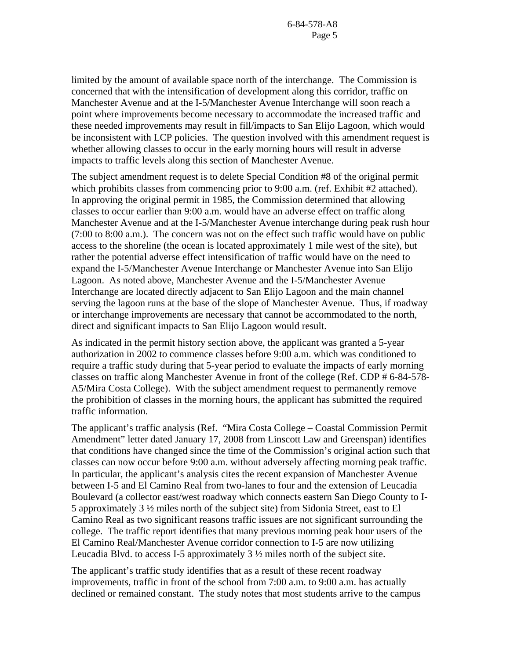limited by the amount of available space north of the interchange. The Commission is concerned that with the intensification of development along this corridor, traffic on Manchester Avenue and at the I-5/Manchester Avenue Interchange will soon reach a point where improvements become necessary to accommodate the increased traffic and these needed improvements may result in fill/impacts to San Elijo Lagoon, which would be inconsistent with LCP policies. The question involved with this amendment request is whether allowing classes to occur in the early morning hours will result in adverse impacts to traffic levels along this section of Manchester Avenue.

The subject amendment request is to delete Special Condition #8 of the original permit which prohibits classes from commencing prior to 9:00 a.m. (ref. Exhibit #2 attached). In approving the original permit in 1985, the Commission determined that allowing classes to occur earlier than 9:00 a.m. would have an adverse effect on traffic along Manchester Avenue and at the I-5/Manchester Avenue interchange during peak rush hour (7:00 to 8:00 a.m.). The concern was not on the effect such traffic would have on public access to the shoreline (the ocean is located approximately 1 mile west of the site), but rather the potential adverse effect intensification of traffic would have on the need to expand the I-5/Manchester Avenue Interchange or Manchester Avenue into San Elijo Lagoon. As noted above, Manchester Avenue and the I-5/Manchester Avenue Interchange are located directly adjacent to San Elijo Lagoon and the main channel serving the lagoon runs at the base of the slope of Manchester Avenue. Thus, if roadway or interchange improvements are necessary that cannot be accommodated to the north, direct and significant impacts to San Elijo Lagoon would result.

As indicated in the permit history section above, the applicant was granted a 5-year authorization in 2002 to commence classes before 9:00 a.m. which was conditioned to require a traffic study during that 5-year period to evaluate the impacts of early morning classes on traffic along Manchester Avenue in front of the college (Ref. CDP # 6-84-578- A5/Mira Costa College). With the subject amendment request to permanently remove the prohibition of classes in the morning hours, the applicant has submitted the required traffic information.

The applicant's traffic analysis (Ref. "Mira Costa College – Coastal Commission Permit Amendment" letter dated January 17, 2008 from Linscott Law and Greenspan) identifies that conditions have changed since the time of the Commission's original action such that classes can now occur before 9:00 a.m. without adversely affecting morning peak traffic. In particular, the applicant's analysis cites the recent expansion of Manchester Avenue between I-5 and El Camino Real from two-lanes to four and the extension of Leucadia Boulevard (a collector east/west roadway which connects eastern San Diego County to I-5 approximately 3 ½ miles north of the subject site) from Sidonia Street, east to El Camino Real as two significant reasons traffic issues are not significant surrounding the college. The traffic report identifies that many previous morning peak hour users of the El Camino Real/Manchester Avenue corridor connection to I-5 are now utilizing Leucadia Blvd. to access I-5 approximately  $3\frac{1}{2}$  miles north of the subject site.

The applicant's traffic study identifies that as a result of these recent roadway improvements, traffic in front of the school from 7:00 a.m. to 9:00 a.m. has actually declined or remained constant. The study notes that most students arrive to the campus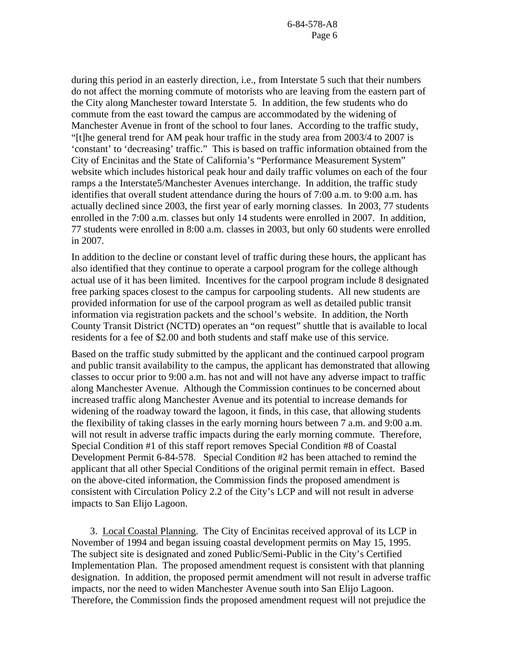during this period in an easterly direction, i.e., from Interstate 5 such that their numbers do not affect the morning commute of motorists who are leaving from the eastern part of the City along Manchester toward Interstate 5. In addition, the few students who do commute from the east toward the campus are accommodated by the widening of Manchester Avenue in front of the school to four lanes. According to the traffic study, "[t]he general trend for AM peak hour traffic in the study area from 2003/4 to 2007 is 'constant' to 'decreasing' traffic." This is based on traffic information obtained from the City of Encinitas and the State of California's "Performance Measurement System" website which includes historical peak hour and daily traffic volumes on each of the four ramps a the Interstate5/Manchester Avenues interchange. In addition, the traffic study identifies that overall student attendance during the hours of 7:00 a.m. to 9:00 a.m. has actually declined since 2003, the first year of early morning classes. In 2003, 77 students enrolled in the 7:00 a.m. classes but only 14 students were enrolled in 2007. In addition, 77 students were enrolled in 8:00 a.m. classes in 2003, but only 60 students were enrolled in 2007.

In addition to the decline or constant level of traffic during these hours, the applicant has also identified that they continue to operate a carpool program for the college although actual use of it has been limited. Incentives for the carpool program include 8 designated free parking spaces closest to the campus for carpooling students. All new students are provided information for use of the carpool program as well as detailed public transit information via registration packets and the school's website. In addition, the North County Transit District (NCTD) operates an "on request" shuttle that is available to local residents for a fee of \$2.00 and both students and staff make use of this service.

Based on the traffic study submitted by the applicant and the continued carpool program and public transit availability to the campus, the applicant has demonstrated that allowing classes to occur prior to 9:00 a.m. has not and will not have any adverse impact to traffic along Manchester Avenue. Although the Commission continues to be concerned about increased traffic along Manchester Avenue and its potential to increase demands for widening of the roadway toward the lagoon, it finds, in this case, that allowing students the flexibility of taking classes in the early morning hours between 7 a.m. and 9:00 a.m. will not result in adverse traffic impacts during the early morning commute. Therefore, Special Condition #1 of this staff report removes Special Condition #8 of Coastal Development Permit 6-84-578. Special Condition #2 has been attached to remind the applicant that all other Special Conditions of the original permit remain in effect. Based on the above-cited information, the Commission finds the proposed amendment is consistent with Circulation Policy 2.2 of the City's LCP and will not result in adverse impacts to San Elijo Lagoon.

 3. Local Coastal Planning. The City of Encinitas received approval of its LCP in November of 1994 and began issuing coastal development permits on May 15, 1995. The subject site is designated and zoned Public/Semi-Public in the City's Certified Implementation Plan. The proposed amendment request is consistent with that planning designation. In addition, the proposed permit amendment will not result in adverse traffic impacts, nor the need to widen Manchester Avenue south into San Elijo Lagoon. Therefore, the Commission finds the proposed amendment request will not prejudice the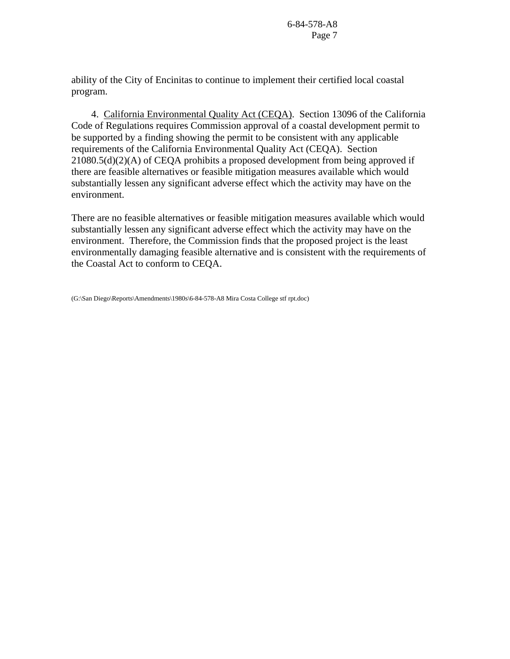ability of the City of Encinitas to continue to implement their certified local coastal program.

 4. California Environmental Quality Act (CEQA). Section 13096 of the California Code of Regulations requires Commission approval of a coastal development permit to be supported by a finding showing the permit to be consistent with any applicable requirements of the California Environmental Quality Act (CEQA). Section 21080.5(d)(2)(A) of CEQA prohibits a proposed development from being approved if there are feasible alternatives or feasible mitigation measures available which would substantially lessen any significant adverse effect which the activity may have on the environment.

There are no feasible alternatives or feasible mitigation measures available which would substantially lessen any significant adverse effect which the activity may have on the environment. Therefore, the Commission finds that the proposed project is the least environmentally damaging feasible alternative and is consistent with the requirements of the Coastal Act to conform to CEQA.

<sup>(</sup>G:\San Diego\Reports\Amendments\1980s\6-84-578-A8 Mira Costa College stf rpt.doc)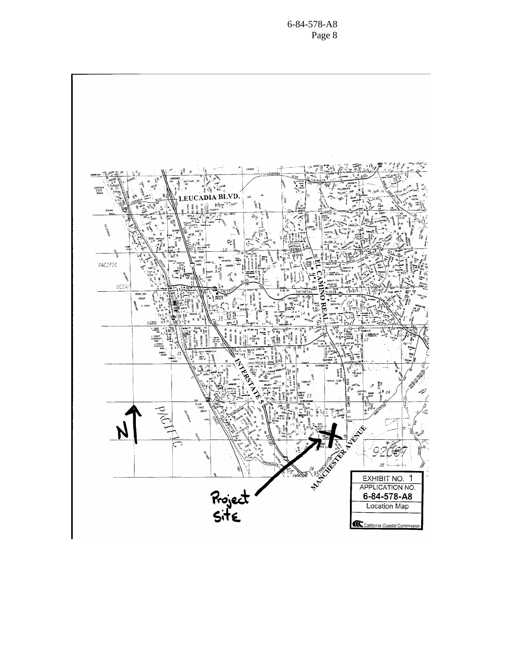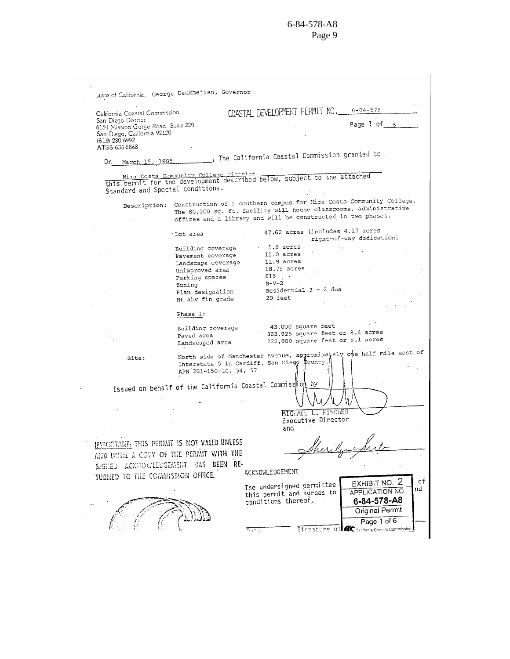| California Coastal Commission                                     |                                                           | COASTAL DEVELOPMENT PERMIT NO. 6-84-578                                                                                           |
|-------------------------------------------------------------------|-----------------------------------------------------------|-----------------------------------------------------------------------------------------------------------------------------------|
| San Diego District                                                |                                                           | Page 1 of 6                                                                                                                       |
| 6154 Mission Gorge Road, Suite 220<br>San Diego, California 92120 |                                                           |                                                                                                                                   |
| (619 280 6992                                                     |                                                           |                                                                                                                                   |
| ATSS 636-5868                                                     |                                                           |                                                                                                                                   |
|                                                                   |                                                           | . The California Coastal Commission granted to                                                                                    |
| On March 15, 1985                                                 |                                                           |                                                                                                                                   |
|                                                                   | Mira Costa Community College District                     |                                                                                                                                   |
|                                                                   |                                                           | this permit for the development described below, subject to the attached                                                          |
| Standard and Special conditions.                                  |                                                           |                                                                                                                                   |
|                                                                   |                                                           |                                                                                                                                   |
| Description:                                                      |                                                           | Construction of a southern campus for Mira Costa Community College.                                                               |
|                                                                   |                                                           | The 80,000 sq. ft. facility will house classrooms, administrative<br>offices and a library and will be constructed in two phases. |
|                                                                   |                                                           |                                                                                                                                   |
|                                                                   | ∙Lot area                                                 | 47.62 acres (includes 4.17 acres                                                                                                  |
|                                                                   |                                                           | right-of-way dedication)                                                                                                          |
|                                                                   | Building coverage                                         | 1.8 acres                                                                                                                         |
|                                                                   | Pavement coverage                                         | $11.0$ acres                                                                                                                      |
|                                                                   | Landscape coverage                                        | 11.9 acres                                                                                                                        |
|                                                                   | Unimproved area                                           | $18.75$ acres                                                                                                                     |
|                                                                   | Parking spaces                                            | $815$ .                                                                                                                           |
|                                                                   | Zoning                                                    | $R-V-2$<br>Residential 3 - 2 dua                                                                                                  |
|                                                                   | Plan designation<br>Ht abv fin grade                      | 20 feet                                                                                                                           |
|                                                                   |                                                           |                                                                                                                                   |
|                                                                   | Phase I:                                                  |                                                                                                                                   |
|                                                                   |                                                           | 43,000 square feet                                                                                                                |
|                                                                   | Building coverage                                         | 363,925 square feet or 8.4 acres                                                                                                  |
|                                                                   | Paved area<br>Landscaped area                             | 222,800 square feet or 5.1 acres                                                                                                  |
|                                                                   |                                                           |                                                                                                                                   |
| Site:                                                             |                                                           | North side of Manchester Avenue, approximately one half mile east of                                                              |
|                                                                   |                                                           | Interstate 5 in Cardiff, San Diego County.                                                                                        |
|                                                                   | APN 261-150-10, 54, 57                                    |                                                                                                                                   |
|                                                                   |                                                           |                                                                                                                                   |
|                                                                   | Issued on behalf of the California Coastal Commiss ion by |                                                                                                                                   |
|                                                                   |                                                           |                                                                                                                                   |
|                                                                   |                                                           |                                                                                                                                   |
|                                                                   |                                                           | MICHAEL L. FISCHER                                                                                                                |
|                                                                   |                                                           | Executive Director                                                                                                                |
|                                                                   |                                                           | and                                                                                                                               |
|                                                                   |                                                           |                                                                                                                                   |
| IMPORTANI: THIS PERMIT IS NOT VALID UNLESS                        |                                                           | Sherila Sarl                                                                                                                      |
| AND UNTIL A COPY OF THE PERMIT WITH THE                           |                                                           |                                                                                                                                   |
|                                                                   | SIGNED ACKNOWLEDGEMENT HAS BEEN RE-                       |                                                                                                                                   |
|                                                                   |                                                           | ACKNOWLEDGEMENT                                                                                                                   |
|                                                                   |                                                           | EXHIBIT NO. 2                                                                                                                     |
| TURNED TO THE COMMISSION OFFICE.                                  |                                                           |                                                                                                                                   |
|                                                                   |                                                           |                                                                                                                                   |
|                                                                   |                                                           | The undersigned permittee<br>APPLICATION NO.<br>this permit and agrees to                                                         |
|                                                                   |                                                           | conditions thereof.<br>6-84-578-A8                                                                                                |
|                                                                   |                                                           |                                                                                                                                   |
|                                                                   |                                                           | Original Permit<br>Page 1 of 6                                                                                                    |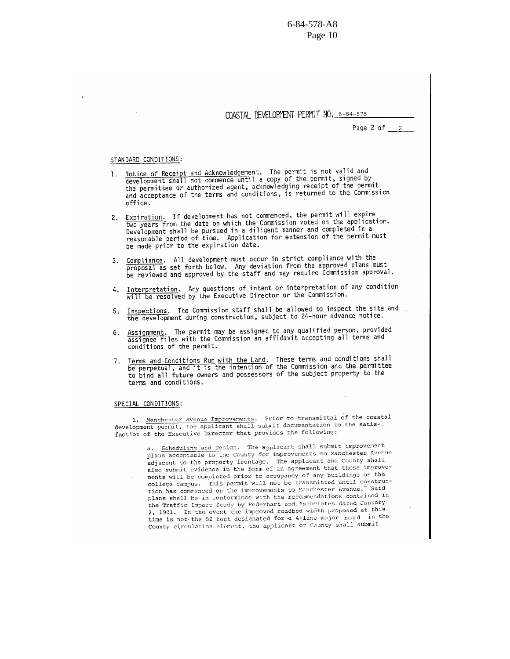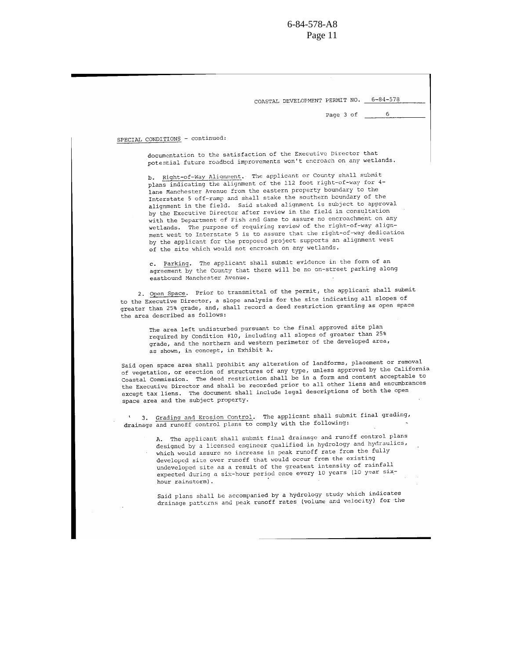COASTAL DEVELOPMENT PERMIT NO. 6-84-578

Page 3 of

6

SPECIAL CONDITIONS - continued:

documentation to the satisfaction of the Executive Director that potential future roadbed improvements won't encroach on any wetlands.

b. Right-of-Way Alignment. The applicant or County shall submit plans indicating the alignment of the 112 foot right-of-way for 4lane Manchester Avenue from the eastern property boundary to the Interstate 5 off-ramp and shall stake the southern boundary of the alignment in the field. Said staked alignment is subject to approval by the Executive Director after review in the field in consultation with the Department of Fish and Game to assure no encroachment on any wetlands. The purpose of requiring review of the right-of-way alignment west to Interstate 5 is to assure that the right-of-way dedication by the applicant for the proposed project supports an alignment west of the site which would not encroach on any wetlands.

c. Parking. The applicant shall submit evidence in the form of an agreement by the County that there will be no on-street parking along eastbound Manchester Avenue.

2. Open Space. Prior to transmittal of the permit, the applicant shall submit to the Executive Director, a slope analysis for the site indicating all slopes of greater than 25% grade, and, shall record a deed restriction granting as open space the area described as follows:

The area left undisturbed pursuant to the final approved site plan required by Condition #10, including all slopes of greater than 25% grade, and the northern and western perimeter of the developed area, as shown, in concept, in Exhibit A.

Said open space area shall prohibit any alteration of landforms, placement or removal of vegetation, or erection of structures of any type, unless approved by the California Coastal Commission. The deed restriction shall be in a form and content acceptable to the Executive Director and shall be recorded prior to all other liens and encumbrances except tax liens. The document shall include legal descriptions of both the open space area and the subject property.

3. Grading and Erosion Control. The applicant shall submit final grading, drainage and runoff control plans to comply with the following:

A. The applicant shall submit final drainage and runoff control plans designed by a licensed engineer qualified in hydrology and hydraulics, which would assure no increase in peak runoff rate from the fully developed site over runoff that would occur from the existing undeveloped site as a result of the greatest intensity of rainfall expected during a six-hour period once every 10 years (10 year sixhour rainstorm).

Said plans shall be accompanied by a hydrology study which indicates drainage patterns and peak runoff rates (volume and velocity) for the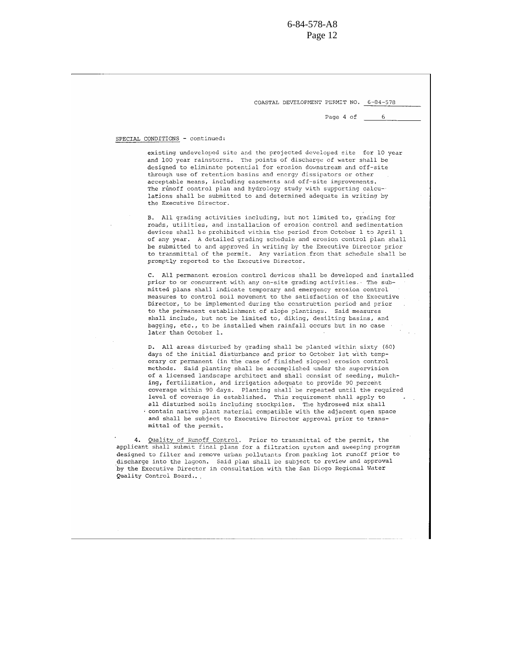COASTAL DEVELOPMENT PERMIT NO. 6-84-578

Page 4 of

6

#### SPECIAL CONDITIONS - continued:

existing undeveloped site and the projected developed site for 10 year and 100 year rainstorms. The points of discharge of water shall be designed to eliminate potential for erosion downstream and off-site through use of retention basins and energy dissipators or other acceptable means, including easements and off-site improvements. The runoff control plan and hydrology study with supporting calculations shall be submitted to and determined adequate in writing by the Executive Director.

B. All grading activities including, but not limited to, grading for roads, utilities, and installation of erosion control and sedimentation devices shall be prohibited within the period from October 1 to April 1 of any year. A detailed grading schedule and erosion control plan shall be submitted to and approved in writing by the Executive Director prior to transmittal of the permit. Any variation from that schedule shall be promptly reported to the Executive Director.

C. All permanent erosion control devices shall be developed and installed prior to or concurrent with any on-site grading activities. The submitted plans shall indicate temporary and emergency erosion control measures to control soil movement to the satisfaction of the Executive Director, to be implemented during the construction period and prior to the permanent establishment of slope plantings. Said measures shall include, but not be limited to, diking, desilting basins, and bagging, etc., to be installed when rainfall occurs but in no case later than October 1.

D. All areas disturbed by grading shall be planted within sixty (60) days of the initial disturbance and prior to October 1st with temporary or permanent (in the case of finished slopes) erosion control methods. Said planting shall be accomplished under the supervision of a licensed landscape architect and shall consist of seeding, mulching, fertilization, and irrigation adequate to provide 90 percent coverage within 90 days. Planting shall be repeated until the required level of coverage is established. This requirement shall apply to all disturbed soils including stockpiles. The hydroseed mix shall contain native plant material compatible with the adjacent open space and shall be subject to Executive Director approval prior to transmittal of the permit.

4. Quality of Runoff Control. Prior to transmittal of the permit, the applicant shall submit final plans for a filtration system and sweeping program designed to filter and remove urban pollutants from parking lot runoff prior to discharge into the lagoon. Said plan shall be subject to review and approval by the Executive Director in consultation with the San Diego Regional Water Quality Control Board...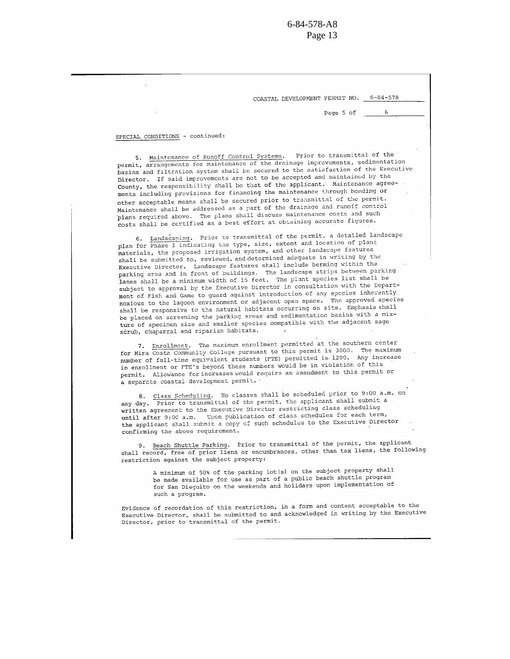COASTAL DEVELOPMENT PERMIT NO. 6-84-578

Page 5 of

6

#### SPECIAL CONDITIONS - continued:

5. Maintenance of Runoff Control Systems, Prior to transmittal of the permit, arrangements for maintenance of the drainage improvements, sedimentation basins and filtration system shall be secured to the satisfaction of the Executive Director. If said improvements are not to be accepted and maintained by the County, the responsibility shall be that of the applicant. Maintenance agreements including provisions for financing the maintenance through bonding or other acceptable means shall be secured prior to transmittal of the permit. Maintenance shall be addressed as a part of the drainage and runoff control plans required above. The plans shall discuss maintenance costs and such costs shall be certified as a best effort at obtaining accurate figures.

6. Landscaping. Prior to transmittal of the permit, a detailed landscape plan for Phase I indicating the type, size, extent and location of plant materials, the proposed irrigation system, and other landscape features shall be submitted to, reviewed, and determined adequate in writing by the Executive Director. Landscape features shall include berming within the parking area and in front of buildings. The landscape strips between parking lanes shall be a minimum width of 15 feet. The plant species list shall be subject to approval by the Executive Director in consultation with the Department of Fish and Game to guard against introduction of any species inherently noxious to the lagoon environment or adjacent open space. The approved species shall be responsive to the natural habitats occurring on site. Emphasis shall be placed on screening the parking areas and sedimentation basins with a mixture of specimen size and smaller species compatible with the adjacent sage scrub, chaparral and riparian habitats.

7. Enrollment. The maximum enrollment permitted at the southern center for Mira Costa Community College pursuant to this permit is 3000. The maximum number of full-time equivalent students (FTE) permitted is 1200. Any increase in enrollment or FTE's beyond these numbers would be in violation of this permit. Allowance for increases would require an amendment to this permit or a separate coastal development permit.

8. Class Scheduling. No classes shall be scheduled prior to 9:00 a.m. on any day. Prior to transmittal of the permit, the applicant shall submit a written agreement to the Executive Director restricting class scheduling until after 9:00 a.m. Upon publication of class schedules for each term, the applicant shall submit a copy of such schedules to the Executive Director confirming the above requirement.

9. Beach Shuttle Parking. Prior to transmittal of the permit, the applicant shall record, free of prior liens or encumbrances, other than tax liens, the following restriction against the subject property:

> A minimum of 50% of the parking lot(s) on the subject property shall be made available for use as part of a public beach shuttle program for San Dieguito on the weekends and holidays upon implementation of such a program.

Evidence of recordation of this restriction, in a form and content acceptable to the Executive Director, shall be submitted to and acknowledged in writing by the Executive Director, prior to transmittal of the permit.